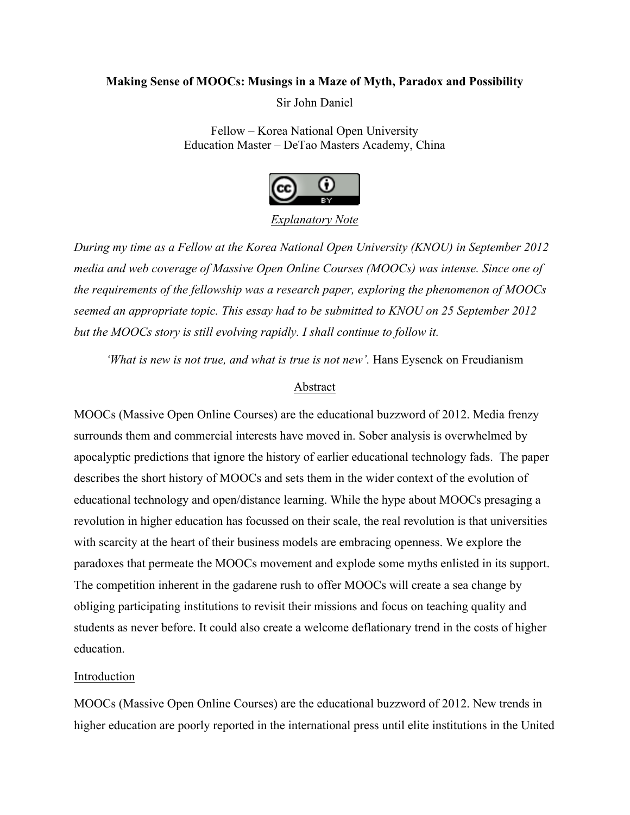# **Making Sense of MOOCs: Musings in a Maze of Myth, Paradox and Possibility**

Sir John Daniel

Fellow – Korea National Open University Education Master – DeTao Masters Academy, China



# *Explanatory Note*

*During my time as a Fellow at the Korea National Open University (KNOU) in September 2012 media and web coverage of Massive Open Online Courses (MOOCs) was intense. Since one of the requirements of the fellowship was a research paper, exploring the phenomenon of MOOCs seemed an appropriate topic. This essay had to be submitted to KNOU on 25 September 2012 but the MOOCs story is still evolving rapidly. I shall continue to follow it.* 

*'What is new is not true, and what is true is not new'*. Hans Eysenck on Freudianism

# Abstract

MOOCs (Massive Open Online Courses) are the educational buzzword of 2012. Media frenzy surrounds them and commercial interests have moved in. Sober analysis is overwhelmed by apocalyptic predictions that ignore the history of earlier educational technology fads. The paper describes the short history of MOOCs and sets them in the wider context of the evolution of educational technology and open/distance learning. While the hype about MOOCs presaging a revolution in higher education has focussed on their scale, the real revolution is that universities with scarcity at the heart of their business models are embracing openness. We explore the paradoxes that permeate the MOOCs movement and explode some myths enlisted in its support. The competition inherent in the gadarene rush to offer MOOCs will create a sea change by obliging participating institutions to revisit their missions and focus on teaching quality and students as never before. It could also create a welcome deflationary trend in the costs of higher education.

# Introduction

MOOCs (Massive Open Online Courses) are the educational buzzword of 2012. New trends in higher education are poorly reported in the international press until elite institutions in the United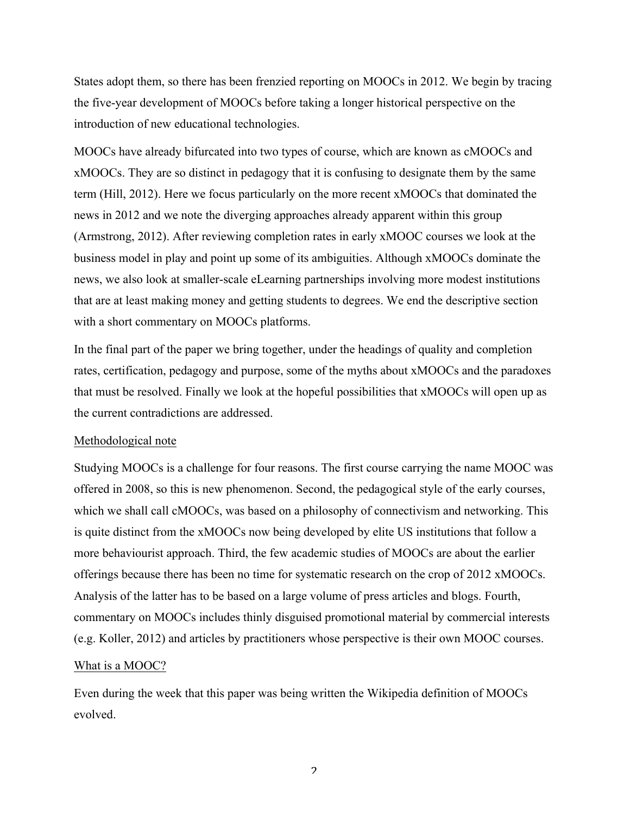States adopt them, so there has been frenzied reporting on MOOCs in 2012. We begin by tracing the five-year development of MOOCs before taking a longer historical perspective on the introduction of new educational technologies.

MOOCs have already bifurcated into two types of course, which are known as cMOOCs and xMOOCs. They are so distinct in pedagogy that it is confusing to designate them by the same term (Hill, 2012). Here we focus particularly on the more recent xMOOCs that dominated the news in 2012 and we note the diverging approaches already apparent within this group (Armstrong, 2012). After reviewing completion rates in early xMOOC courses we look at the business model in play and point up some of its ambiguities. Although xMOOCs dominate the news, we also look at smaller-scale eLearning partnerships involving more modest institutions that are at least making money and getting students to degrees. We end the descriptive section with a short commentary on MOOCs platforms.

In the final part of the paper we bring together, under the headings of quality and completion rates, certification, pedagogy and purpose, some of the myths about xMOOCs and the paradoxes that must be resolved. Finally we look at the hopeful possibilities that xMOOCs will open up as the current contradictions are addressed.

# Methodological note

Studying MOOCs is a challenge for four reasons. The first course carrying the name MOOC was offered in 2008, so this is new phenomenon. Second, the pedagogical style of the early courses, which we shall call cMOOCs, was based on a philosophy of connectivism and networking. This is quite distinct from the xMOOCs now being developed by elite US institutions that follow a more behaviourist approach. Third, the few academic studies of MOOCs are about the earlier offerings because there has been no time for systematic research on the crop of 2012 xMOOCs. Analysis of the latter has to be based on a large volume of press articles and blogs. Fourth, commentary on MOOCs includes thinly disguised promotional material by commercial interests (e.g. Koller, 2012) and articles by practitioners whose perspective is their own MOOC courses.

#### What is a MOOC?

Even during the week that this paper was being written the Wikipedia definition of MOOCs evolved.

 $\overline{\mathcal{L}}$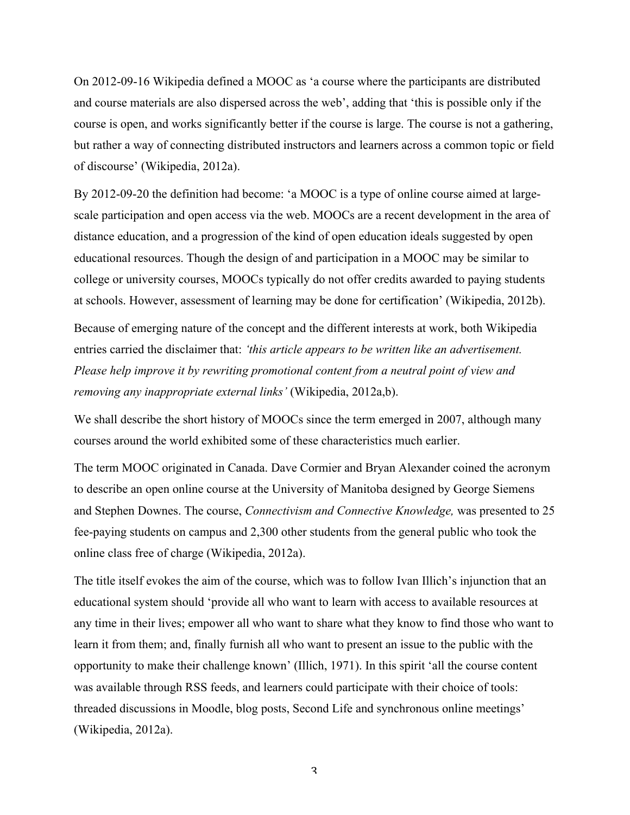On 2012-09-16 Wikipedia defined a MOOC as 'a course where the participants are distributed and course materials are also dispersed across the web', adding that 'this is possible only if the course is open, and works significantly better if the course is large. The course is not a gathering, but rather a way of connecting distributed instructors and learners across a common topic or field of discourse' (Wikipedia, 2012a).

By 2012-09-20 the definition had become: 'a MOOC is a type of online course aimed at largescale participation and open access via the web. MOOCs are a recent development in the area of distance education, and a progression of the kind of open education ideals suggested by open educational resources. Though the design of and participation in a MOOC may be similar to college or university courses, MOOCs typically do not offer credits awarded to paying students at schools. However, assessment of learning may be done for certification' (Wikipedia, 2012b).

Because of emerging nature of the concept and the different interests at work, both Wikipedia entries carried the disclaimer that: *'this article appears to be written like an advertisement. Please help improve it by rewriting promotional content from a neutral point of view and removing any inappropriate external links'* (Wikipedia, 2012a,b).

We shall describe the short history of MOOCs since the term emerged in 2007, although many courses around the world exhibited some of these characteristics much earlier.

The term MOOC originated in Canada. Dave Cormier and Bryan Alexander coined the acronym to describe an open online course at the University of Manitoba designed by George Siemens and Stephen Downes. The course, *Connectivism and Connective Knowledge,* was presented to 25 fee-paying students on campus and 2,300 other students from the general public who took the online class free of charge (Wikipedia, 2012a).

The title itself evokes the aim of the course, which was to follow Ivan Illich's injunction that an educational system should 'provide all who want to learn with access to available resources at any time in their lives; empower all who want to share what they know to find those who want to learn it from them; and, finally furnish all who want to present an issue to the public with the opportunity to make their challenge known' (Illich, 1971). In this spirit 'all the course content was available through RSS feeds, and learners could participate with their choice of tools: threaded discussions in Moodle, blog posts, Second Life and synchronous online meetings' (Wikipedia, 2012a).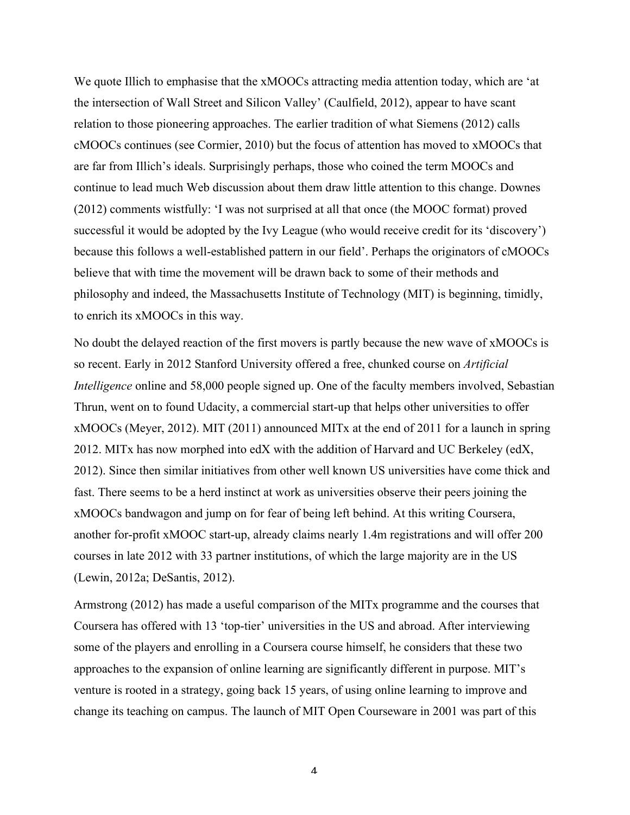We quote Illich to emphasise that the xMOOCs attracting media attention today, which are 'at the intersection of Wall Street and Silicon Valley' (Caulfield, 2012), appear to have scant relation to those pioneering approaches. The earlier tradition of what Siemens (2012) calls cMOOCs continues (see Cormier, 2010) but the focus of attention has moved to xMOOCs that are far from Illich's ideals. Surprisingly perhaps, those who coined the term MOOCs and continue to lead much Web discussion about them draw little attention to this change. Downes (2012) comments wistfully: 'I was not surprised at all that once (the MOOC format) proved successful it would be adopted by the Ivy League (who would receive credit for its 'discovery') because this follows a well-established pattern in our field'. Perhaps the originators of cMOOCs believe that with time the movement will be drawn back to some of their methods and philosophy and indeed, the Massachusetts Institute of Technology (MIT) is beginning, timidly, to enrich its xMOOCs in this way.

No doubt the delayed reaction of the first movers is partly because the new wave of xMOOCs is so recent. Early in 2012 Stanford University offered a free, chunked course on *Artificial Intelligence* online and 58,000 people signed up. One of the faculty members involved, Sebastian Thrun, went on to found Udacity, a commercial start-up that helps other universities to offer xMOOCs (Meyer, 2012). MIT (2011) announced MITx at the end of 2011 for a launch in spring 2012. MITx has now morphed into edX with the addition of Harvard and UC Berkeley (edX, 2012). Since then similar initiatives from other well known US universities have come thick and fast. There seems to be a herd instinct at work as universities observe their peers joining the xMOOCs bandwagon and jump on for fear of being left behind. At this writing Coursera, another for-profit xMOOC start-up, already claims nearly 1.4m registrations and will offer 200 courses in late 2012 with 33 partner institutions, of which the large majority are in the US (Lewin, 2012a; DeSantis, 2012).

Armstrong (2012) has made a useful comparison of the MITx programme and the courses that Coursera has offered with 13 'top-tier' universities in the US and abroad. After interviewing some of the players and enrolling in a Coursera course himself, he considers that these two approaches to the expansion of online learning are significantly different in purpose. MIT's venture is rooted in a strategy, going back 15 years, of using online learning to improve and change its teaching on campus. The launch of MIT Open Courseware in 2001 was part of this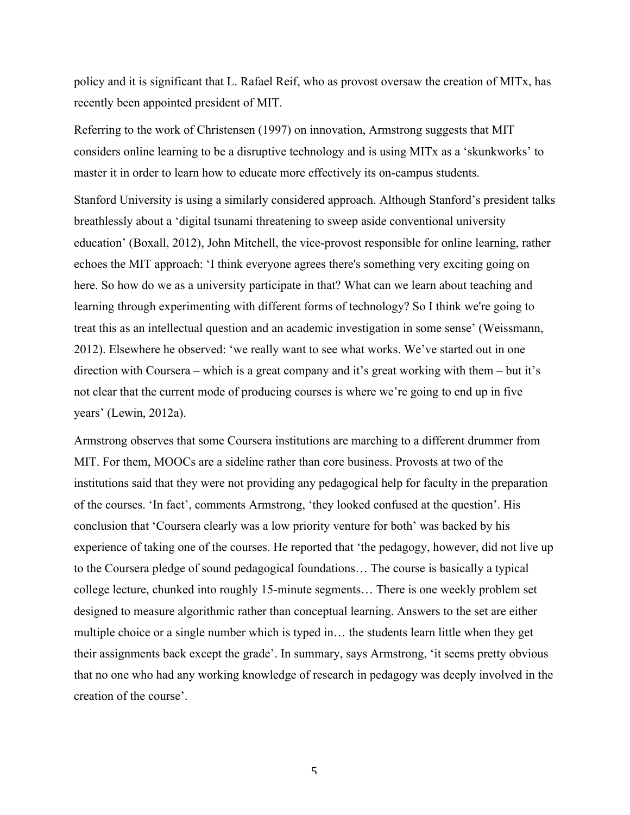policy and it is significant that L. Rafael Reif, who as provost oversaw the creation of MITx, has recently been appointed president of MIT.

Referring to the work of Christensen (1997) on innovation, Armstrong suggests that MIT considers online learning to be a disruptive technology and is using MITx as a 'skunkworks' to master it in order to learn how to educate more effectively its on-campus students.

Stanford University is using a similarly considered approach. Although Stanford's president talks breathlessly about a 'digital tsunami threatening to sweep aside conventional university education' (Boxall, 2012), John Mitchell, the vice-provost responsible for online learning, rather echoes the MIT approach: 'I think everyone agrees there's something very exciting going on here. So how do we as a university participate in that? What can we learn about teaching and learning through experimenting with different forms of technology? So I think we're going to treat this as an intellectual question and an academic investigation in some sense' (Weissmann, 2012). Elsewhere he observed: 'we really want to see what works. We've started out in one direction with Coursera – which is a great company and it's great working with them – but it's not clear that the current mode of producing courses is where we're going to end up in five years' (Lewin, 2012a).

Armstrong observes that some Coursera institutions are marching to a different drummer from MIT. For them, MOOCs are a sideline rather than core business. Provosts at two of the institutions said that they were not providing any pedagogical help for faculty in the preparation of the courses. 'In fact', comments Armstrong, 'they looked confused at the question'. His conclusion that 'Coursera clearly was a low priority venture for both' was backed by his experience of taking one of the courses. He reported that 'the pedagogy, however, did not live up to the Coursera pledge of sound pedagogical foundations… The course is basically a typical college lecture, chunked into roughly 15-minute segments… There is one weekly problem set designed to measure algorithmic rather than conceptual learning. Answers to the set are either multiple choice or a single number which is typed in… the students learn little when they get their assignments back except the grade'. In summary, says Armstrong, 'it seems pretty obvious that no one who had any working knowledge of research in pedagogy was deeply involved in the creation of the course'.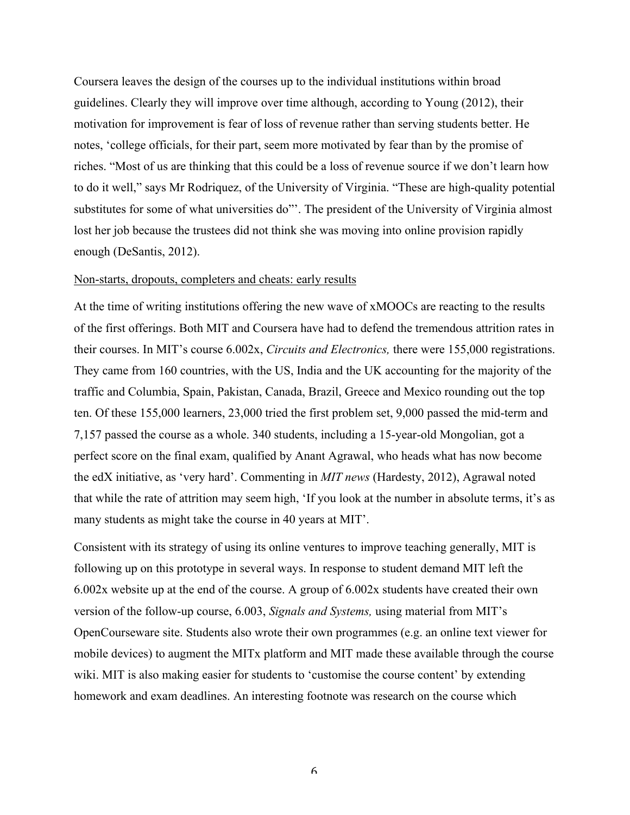Coursera leaves the design of the courses up to the individual institutions within broad guidelines. Clearly they will improve over time although, according to Young (2012), their motivation for improvement is fear of loss of revenue rather than serving students better. He notes, 'college officials, for their part, seem more motivated by fear than by the promise of riches. "Most of us are thinking that this could be a loss of revenue source if we don't learn how to do it well," says Mr Rodriquez, of the University of Virginia. "These are high-quality potential substitutes for some of what universities do"'. The president of the University of Virginia almost lost her job because the trustees did not think she was moving into online provision rapidly enough (DeSantis, 2012).

### Non-starts, dropouts, completers and cheats: early results

At the time of writing institutions offering the new wave of xMOOCs are reacting to the results of the first offerings. Both MIT and Coursera have had to defend the tremendous attrition rates in their courses. In MIT's course 6.002x, *Circuits and Electronics,* there were 155,000 registrations. They came from 160 countries, with the US, India and the UK accounting for the majority of the traffic and Columbia, Spain, Pakistan, Canada, Brazil, Greece and Mexico rounding out the top ten. Of these 155,000 learners, 23,000 tried the first problem set, 9,000 passed the mid-term and 7,157 passed the course as a whole. 340 students, including a 15-year-old Mongolian, got a perfect score on the final exam, qualified by Anant Agrawal, who heads what has now become the edX initiative, as 'very hard'. Commenting in *MIT news* (Hardesty, 2012), Agrawal noted that while the rate of attrition may seem high, 'If you look at the number in absolute terms, it's as many students as might take the course in 40 years at MIT'.

Consistent with its strategy of using its online ventures to improve teaching generally, MIT is following up on this prototype in several ways. In response to student demand MIT left the 6.002x website up at the end of the course. A group of 6.002x students have created their own version of the follow-up course, 6.003, *Signals and Systems,* using material from MIT's OpenCourseware site. Students also wrote their own programmes (e.g. an online text viewer for mobile devices) to augment the MITx platform and MIT made these available through the course wiki. MIT is also making easier for students to 'customise the course content' by extending homework and exam deadlines. An interesting footnote was research on the course which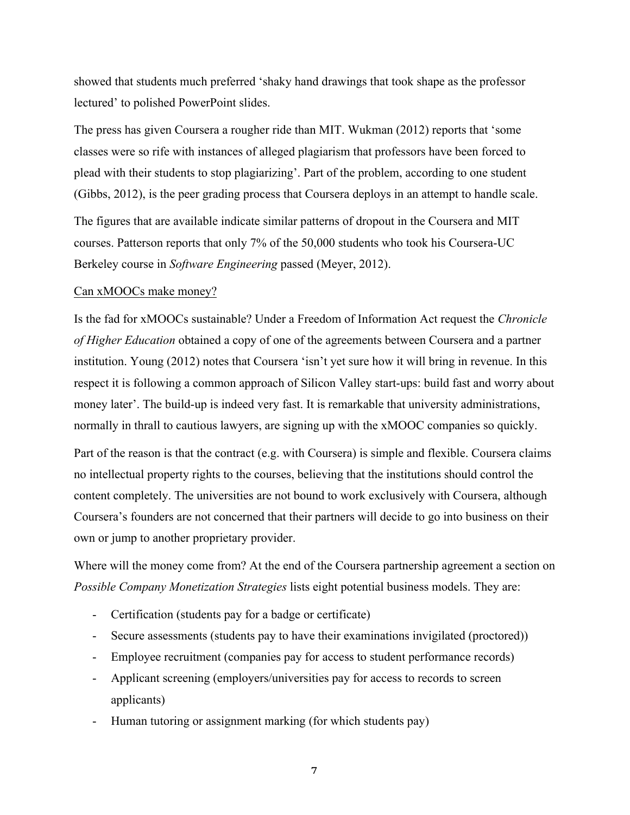showed that students much preferred 'shaky hand drawings that took shape as the professor lectured' to polished PowerPoint slides.

The press has given Coursera a rougher ride than MIT. Wukman (2012) reports that 'some classes were so rife with instances of alleged plagiarism that professors have been forced to plead with their students to stop plagiarizing'. Part of the problem, according to one student (Gibbs, 2012), is the peer grading process that Coursera deploys in an attempt to handle scale.

The figures that are available indicate similar patterns of dropout in the Coursera and MIT courses. Patterson reports that only 7% of the 50,000 students who took his Coursera-UC Berkeley course in *Software Engineering* passed (Meyer, 2012).

# Can xMOOCs make money?

Is the fad for xMOOCs sustainable? Under a Freedom of Information Act request the *Chronicle of Higher Education* obtained a copy of one of the agreements between Coursera and a partner institution. Young (2012) notes that Coursera 'isn't yet sure how it will bring in revenue. In this respect it is following a common approach of Silicon Valley start-ups: build fast and worry about money later'. The build-up is indeed very fast. It is remarkable that university administrations, normally in thrall to cautious lawyers, are signing up with the xMOOC companies so quickly.

Part of the reason is that the contract (e.g. with Coursera) is simple and flexible. Coursera claims no intellectual property rights to the courses, believing that the institutions should control the content completely. The universities are not bound to work exclusively with Coursera, although Coursera's founders are not concerned that their partners will decide to go into business on their own or jump to another proprietary provider.

Where will the money come from? At the end of the Coursera partnership agreement a section on *Possible Company Monetization Strategies* lists eight potential business models. They are:

- Certification (students pay for a badge or certificate)
- Secure assessments (students pay to have their examinations invigilated (proctored))
- Employee recruitment (companies pay for access to student performance records)
- Applicant screening (employers/universities pay for access to records to screen applicants)
- Human tutoring or assignment marking (for which students pay)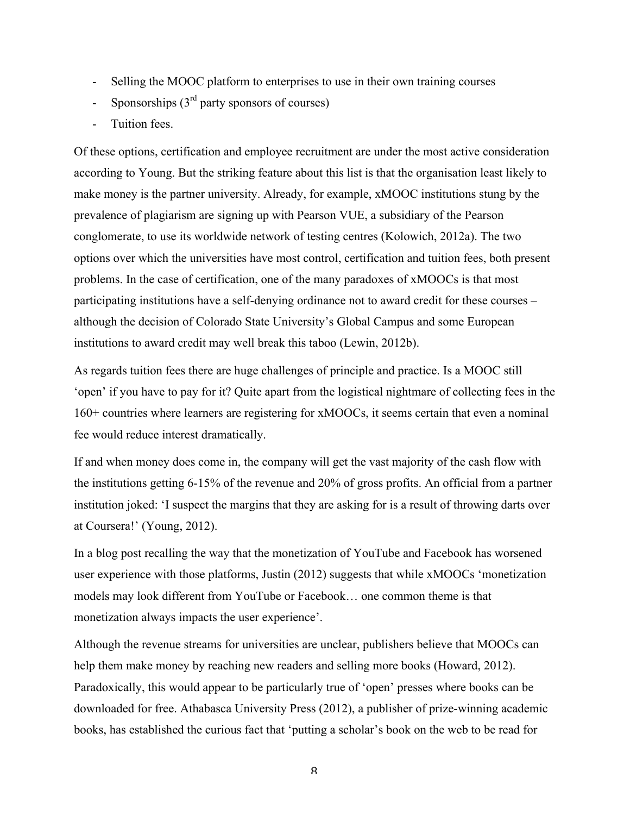- Selling the MOOC platform to enterprises to use in their own training courses
- Sponsorships  $(3<sup>rd</sup>$  party sponsors of courses)
- Tuition fees.

Of these options, certification and employee recruitment are under the most active consideration according to Young. But the striking feature about this list is that the organisation least likely to make money is the partner university. Already, for example, xMOOC institutions stung by the prevalence of plagiarism are signing up with Pearson VUE, a subsidiary of the Pearson conglomerate, to use its worldwide network of testing centres (Kolowich, 2012a). The two options over which the universities have most control, certification and tuition fees, both present problems. In the case of certification, one of the many paradoxes of xMOOCs is that most participating institutions have a self-denying ordinance not to award credit for these courses – although the decision of Colorado State University's Global Campus and some European institutions to award credit may well break this taboo (Lewin, 2012b).

As regards tuition fees there are huge challenges of principle and practice. Is a MOOC still 'open' if you have to pay for it? Quite apart from the logistical nightmare of collecting fees in the 160+ countries where learners are registering for xMOOCs, it seems certain that even a nominal fee would reduce interest dramatically.

If and when money does come in, the company will get the vast majority of the cash flow with the institutions getting 6-15% of the revenue and 20% of gross profits. An official from a partner institution joked: 'I suspect the margins that they are asking for is a result of throwing darts over at Coursera!' (Young, 2012).

In a blog post recalling the way that the monetization of YouTube and Facebook has worsened user experience with those platforms, Justin (2012) suggests that while xMOOCs 'monetization models may look different from YouTube or Facebook… one common theme is that monetization always impacts the user experience'.

Although the revenue streams for universities are unclear, publishers believe that MOOCs can help them make money by reaching new readers and selling more books (Howard, 2012). Paradoxically, this would appear to be particularly true of 'open' presses where books can be downloaded for free. Athabasca University Press (2012), a publisher of prize-winning academic books, has established the curious fact that 'putting a scholar's book on the web to be read for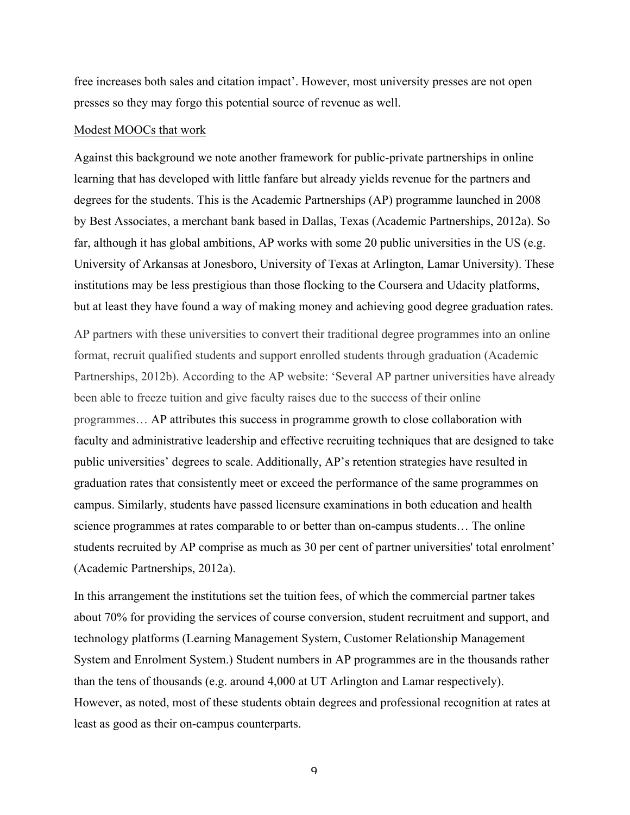free increases both sales and citation impact'. However, most university presses are not open presses so they may forgo this potential source of revenue as well.

#### Modest MOOCs that work

Against this background we note another framework for public-private partnerships in online learning that has developed with little fanfare but already yields revenue for the partners and degrees for the students. This is the Academic Partnerships (AP) programme launched in 2008 by Best Associates, a merchant bank based in Dallas, Texas (Academic Partnerships, 2012a). So far, although it has global ambitions, AP works with some 20 public universities in the US (e.g. University of Arkansas at Jonesboro, University of Texas at Arlington, Lamar University). These institutions may be less prestigious than those flocking to the Coursera and Udacity platforms, but at least they have found a way of making money and achieving good degree graduation rates.

AP partners with these universities to convert their traditional degree programmes into an online format, recruit qualified students and support enrolled students through graduation (Academic Partnerships, 2012b). According to the AP website: 'Several AP partner universities have already been able to freeze tuition and give faculty raises due to the success of their online programmes… AP attributes this success in programme growth to close collaboration with faculty and administrative leadership and effective recruiting techniques that are designed to take public universities' degrees to scale. Additionally, AP's retention strategies have resulted in graduation rates that consistently meet or exceed the performance of the same programmes on campus. Similarly, students have passed licensure examinations in both education and health science programmes at rates comparable to or better than on-campus students… The online students recruited by AP comprise as much as 30 per cent of partner universities' total enrolment' (Academic Partnerships, 2012a).

In this arrangement the institutions set the tuition fees, of which the commercial partner takes about 70% for providing the services of course conversion, student recruitment and support, and technology platforms (Learning Management System, Customer Relationship Management System and Enrolment System.) Student numbers in AP programmes are in the thousands rather than the tens of thousands (e.g. around 4,000 at UT Arlington and Lamar respectively). However, as noted, most of these students obtain degrees and professional recognition at rates at least as good as their on-campus counterparts.

 $\mathbf{q}$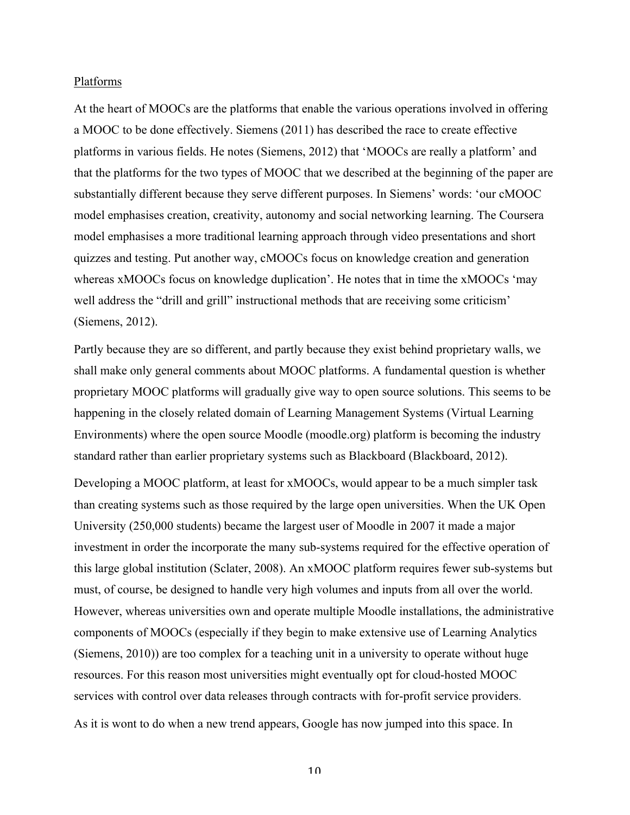### Platforms

At the heart of MOOCs are the platforms that enable the various operations involved in offering a MOOC to be done effectively. Siemens (2011) has described the race to create effective platforms in various fields. He notes (Siemens, 2012) that 'MOOCs are really a platform' and that the platforms for the two types of MOOC that we described at the beginning of the paper are substantially different because they serve different purposes. In Siemens' words: 'our cMOOC model emphasises creation, creativity, autonomy and social networking learning. The Coursera model emphasises a more traditional learning approach through video presentations and short quizzes and testing. Put another way, cMOOCs focus on knowledge creation and generation whereas xMOOCs focus on knowledge duplication'. He notes that in time the xMOOCs 'may well address the "drill and grill" instructional methods that are receiving some criticism' (Siemens, 2012).

Partly because they are so different, and partly because they exist behind proprietary walls, we shall make only general comments about MOOC platforms. A fundamental question is whether proprietary MOOC platforms will gradually give way to open source solutions. This seems to be happening in the closely related domain of Learning Management Systems (Virtual Learning Environments) where the open source Moodle (moodle.org) platform is becoming the industry standard rather than earlier proprietary systems such as Blackboard (Blackboard, 2012).

Developing a MOOC platform, at least for xMOOCs, would appear to be a much simpler task than creating systems such as those required by the large open universities. When the UK Open University (250,000 students) became the largest user of Moodle in 2007 it made a major investment in order the incorporate the many sub-systems required for the effective operation of this large global institution (Sclater, 2008). An xMOOC platform requires fewer sub-systems but must, of course, be designed to handle very high volumes and inputs from all over the world. However, whereas universities own and operate multiple Moodle installations, the administrative components of MOOCs (especially if they begin to make extensive use of Learning Analytics (Siemens, 2010)) are too complex for a teaching unit in a university to operate without huge resources. For this reason most universities might eventually opt for cloud-hosted MOOC services with control over data releases through contracts with for-profit service providers.

As it is wont to do when a new trend appears, Google has now jumped into this space. In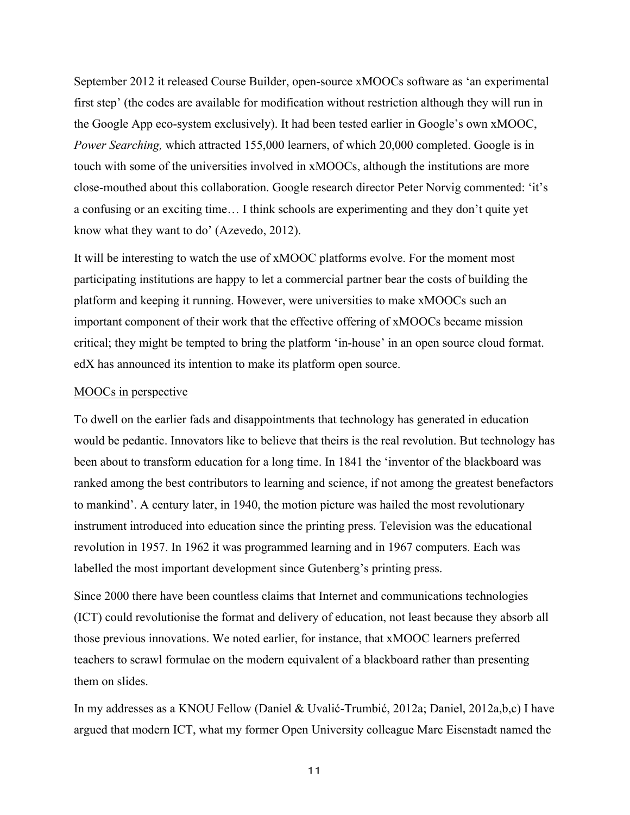September 2012 it released Course Builder, open-source xMOOCs software as 'an experimental first step' (the codes are available for modification without restriction although they will run in the Google App eco-system exclusively). It had been tested earlier in Google's own xMOOC, *Power Searching,* which attracted 155,000 learners, of which 20,000 completed. Google is in touch with some of the universities involved in xMOOCs, although the institutions are more close-mouthed about this collaboration. Google research director Peter Norvig commented: 'it's a confusing or an exciting time… I think schools are experimenting and they don't quite yet know what they want to do' (Azevedo, 2012).

It will be interesting to watch the use of xMOOC platforms evolve. For the moment most participating institutions are happy to let a commercial partner bear the costs of building the platform and keeping it running. However, were universities to make xMOOCs such an important component of their work that the effective offering of xMOOCs became mission critical; they might be tempted to bring the platform 'in-house' in an open source cloud format. edX has announced its intention to make its platform open source.

### MOOCs in perspective

To dwell on the earlier fads and disappointments that technology has generated in education would be pedantic. Innovators like to believe that theirs is the real revolution. But technology has been about to transform education for a long time. In 1841 the 'inventor of the blackboard was ranked among the best contributors to learning and science, if not among the greatest benefactors to mankind'. A century later, in 1940, the motion picture was hailed the most revolutionary instrument introduced into education since the printing press. Television was the educational revolution in 1957. In 1962 it was programmed learning and in 1967 computers. Each was labelled the most important development since Gutenberg's printing press.

Since 2000 there have been countless claims that Internet and communications technologies (ICT) could revolutionise the format and delivery of education, not least because they absorb all those previous innovations. We noted earlier, for instance, that xMOOC learners preferred teachers to scrawl formulae on the modern equivalent of a blackboard rather than presenting them on slides.

In my addresses as a KNOU Fellow (Daniel & Uvalić-Trumbić, 2012a; Daniel, 2012a,b,c) I have argued that modern ICT, what my former Open University colleague Marc Eisenstadt named the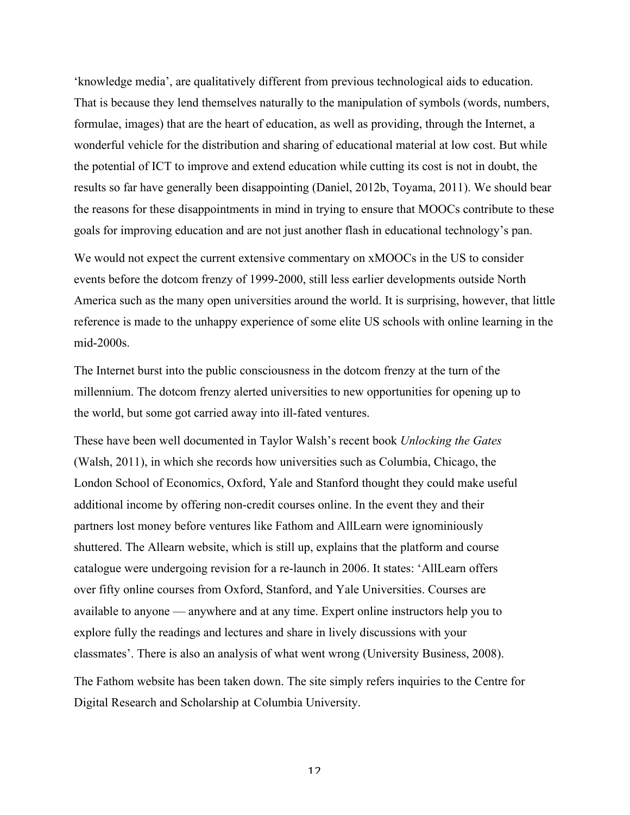'knowledge media', are qualitatively different from previous technological aids to education. That is because they lend themselves naturally to the manipulation of symbols (words, numbers, formulae, images) that are the heart of education, as well as providing, through the Internet, a wonderful vehicle for the distribution and sharing of educational material at low cost. But while the potential of ICT to improve and extend education while cutting its cost is not in doubt, the results so far have generally been disappointing (Daniel, 2012b, Toyama, 2011). We should bear the reasons for these disappointments in mind in trying to ensure that MOOCs contribute to these goals for improving education and are not just another flash in educational technology's pan.

We would not expect the current extensive commentary on xMOOCs in the US to consider events before the dotcom frenzy of 1999-2000, still less earlier developments outside North America such as the many open universities around the world. It is surprising, however, that little reference is made to the unhappy experience of some elite US schools with online learning in the mid-2000s.

The Internet burst into the public consciousness in the dotcom frenzy at the turn of the millennium. The dotcom frenzy alerted universities to new opportunities for opening up to the world, but some got carried away into ill-fated ventures.

These have been well documented in Taylor Walsh's recent book *Unlocking the Gates* (Walsh, 2011), in which she records how universities such as Columbia, Chicago, the London School of Economics, Oxford, Yale and Stanford thought they could make useful additional income by offering non-credit courses online. In the event they and their partners lost money before ventures like Fathom and AllLearn were ignominiously shuttered. The Allearn website, which is still up, explains that the platform and course catalogue were undergoing revision for a re-launch in 2006. It states: 'AllLearn offers over fifty online courses from Oxford, Stanford, and Yale Universities. Courses are available to anyone — anywhere and at any time. Expert online instructors help you to explore fully the readings and lectures and share in lively discussions with your classmates'. There is also an analysis of what went wrong (University Business, 2008).

The Fathom website has been taken down. The site simply refers inquiries to the Centre for Digital Research and Scholarship at Columbia University.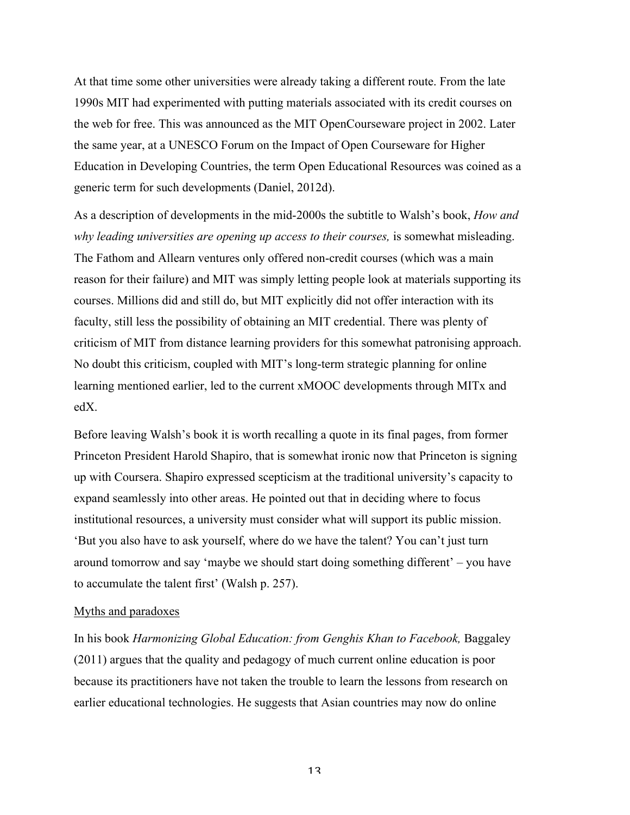At that time some other universities were already taking a different route. From the late 1990s MIT had experimented with putting materials associated with its credit courses on the web for free. This was announced as the MIT OpenCourseware project in 2002. Later the same year, at a UNESCO Forum on the Impact of Open Courseware for Higher Education in Developing Countries, the term Open Educational Resources was coined as a generic term for such developments (Daniel, 2012d).

As a description of developments in the mid-2000s the subtitle to Walsh's book, *How and why leading universities are opening up access to their courses,* is somewhat misleading. The Fathom and Allearn ventures only offered non-credit courses (which was a main reason for their failure) and MIT was simply letting people look at materials supporting its courses. Millions did and still do, but MIT explicitly did not offer interaction with its faculty, still less the possibility of obtaining an MIT credential. There was plenty of criticism of MIT from distance learning providers for this somewhat patronising approach. No doubt this criticism, coupled with MIT's long-term strategic planning for online learning mentioned earlier, led to the current xMOOC developments through MITx and edX.

Before leaving Walsh's book it is worth recalling a quote in its final pages, from former Princeton President Harold Shapiro, that is somewhat ironic now that Princeton is signing up with Coursera. Shapiro expressed scepticism at the traditional university's capacity to expand seamlessly into other areas. He pointed out that in deciding where to focus institutional resources, a university must consider what will support its public mission. 'But you also have to ask yourself, where do we have the talent? You can't just turn around tomorrow and say 'maybe we should start doing something different' – you have to accumulate the talent first' (Walsh p. 257).

### Myths and paradoxes

In his book *Harmonizing Global Education: from Genghis Khan to Facebook,* Baggaley (2011) argues that the quality and pedagogy of much current online education is poor because its practitioners have not taken the trouble to learn the lessons from research on earlier educational technologies. He suggests that Asian countries may now do online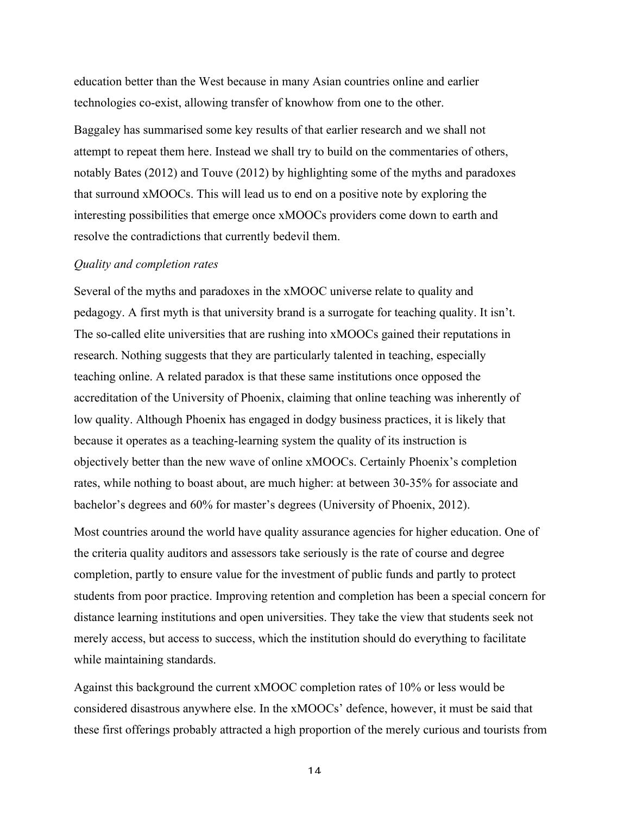education better than the West because in many Asian countries online and earlier technologies co-exist, allowing transfer of knowhow from one to the other.

Baggaley has summarised some key results of that earlier research and we shall not attempt to repeat them here. Instead we shall try to build on the commentaries of others, notably Bates (2012) and Touve (2012) by highlighting some of the myths and paradoxes that surround xMOOCs. This will lead us to end on a positive note by exploring the interesting possibilities that emerge once xMOOCs providers come down to earth and resolve the contradictions that currently bedevil them.

#### *Quality and completion rates*

Several of the myths and paradoxes in the xMOOC universe relate to quality and pedagogy. A first myth is that university brand is a surrogate for teaching quality. It isn't. The so-called elite universities that are rushing into xMOOCs gained their reputations in research. Nothing suggests that they are particularly talented in teaching, especially teaching online. A related paradox is that these same institutions once opposed the accreditation of the University of Phoenix, claiming that online teaching was inherently of low quality. Although Phoenix has engaged in dodgy business practices, it is likely that because it operates as a teaching-learning system the quality of its instruction is objectively better than the new wave of online xMOOCs. Certainly Phoenix's completion rates, while nothing to boast about, are much higher: at between 30-35% for associate and bachelor's degrees and 60% for master's degrees (University of Phoenix, 2012).

Most countries around the world have quality assurance agencies for higher education. One of the criteria quality auditors and assessors take seriously is the rate of course and degree completion, partly to ensure value for the investment of public funds and partly to protect students from poor practice. Improving retention and completion has been a special concern for distance learning institutions and open universities. They take the view that students seek not merely access, but access to success, which the institution should do everything to facilitate while maintaining standards.

Against this background the current xMOOC completion rates of 10% or less would be considered disastrous anywhere else. In the xMOOCs' defence, however, it must be said that these first offerings probably attracted a high proportion of the merely curious and tourists from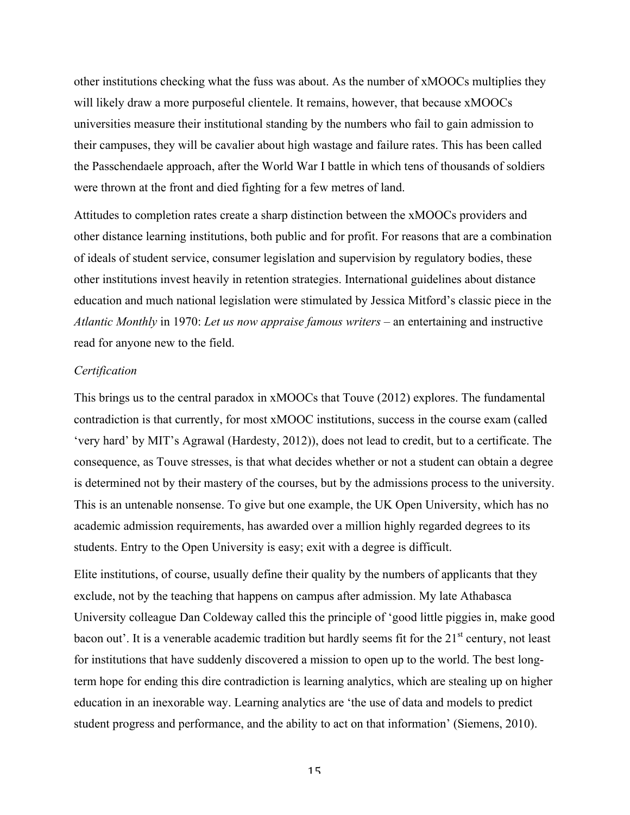other institutions checking what the fuss was about. As the number of xMOOCs multiplies they will likely draw a more purposeful clientele. It remains, however, that because xMOOCs universities measure their institutional standing by the numbers who fail to gain admission to their campuses, they will be cavalier about high wastage and failure rates. This has been called the Passchendaele approach, after the World War I battle in which tens of thousands of soldiers were thrown at the front and died fighting for a few metres of land.

Attitudes to completion rates create a sharp distinction between the xMOOCs providers and other distance learning institutions, both public and for profit. For reasons that are a combination of ideals of student service, consumer legislation and supervision by regulatory bodies, these other institutions invest heavily in retention strategies. International guidelines about distance education and much national legislation were stimulated by Jessica Mitford's classic piece in the *Atlantic Monthly* in 1970: *Let us now appraise famous writers –* an entertaining and instructive read for anyone new to the field.

# *Certification*

This brings us to the central paradox in xMOOCs that Touve (2012) explores. The fundamental contradiction is that currently, for most xMOOC institutions, success in the course exam (called 'very hard' by MIT's Agrawal (Hardesty, 2012)), does not lead to credit, but to a certificate. The consequence, as Touve stresses, is that what decides whether or not a student can obtain a degree is determined not by their mastery of the courses, but by the admissions process to the university. This is an untenable nonsense. To give but one example, the UK Open University, which has no academic admission requirements, has awarded over a million highly regarded degrees to its students. Entry to the Open University is easy; exit with a degree is difficult.

Elite institutions, of course, usually define their quality by the numbers of applicants that they exclude, not by the teaching that happens on campus after admission. My late Athabasca University colleague Dan Coldeway called this the principle of 'good little piggies in, make good bacon out'. It is a venerable academic tradition but hardly seems fit for the 21<sup>st</sup> century, not least for institutions that have suddenly discovered a mission to open up to the world. The best longterm hope for ending this dire contradiction is learning analytics, which are stealing up on higher education in an inexorable way. Learning analytics are 'the use of data and models to predict student progress and performance, and the ability to act on that information' (Siemens, 2010).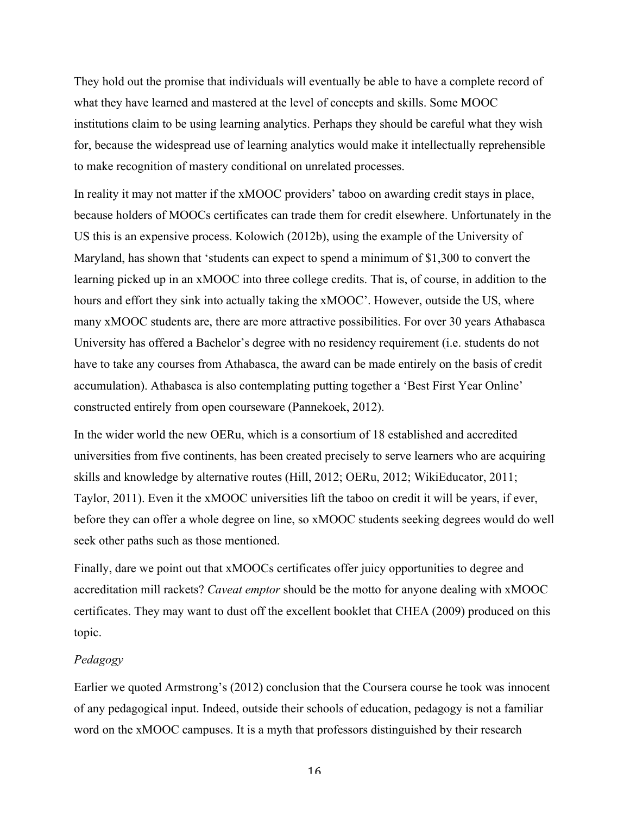They hold out the promise that individuals will eventually be able to have a complete record of what they have learned and mastered at the level of concepts and skills. Some MOOC institutions claim to be using learning analytics. Perhaps they should be careful what they wish for, because the widespread use of learning analytics would make it intellectually reprehensible to make recognition of mastery conditional on unrelated processes.

In reality it may not matter if the xMOOC providers' taboo on awarding credit stays in place, because holders of MOOCs certificates can trade them for credit elsewhere. Unfortunately in the US this is an expensive process. Kolowich (2012b), using the example of the University of Maryland, has shown that 'students can expect to spend a minimum of \$1,300 to convert the learning picked up in an xMOOC into three college credits. That is, of course, in addition to the hours and effort they sink into actually taking the xMOOC'. However, outside the US, where many xMOOC students are, there are more attractive possibilities. For over 30 years Athabasca University has offered a Bachelor's degree with no residency requirement (i.e. students do not have to take any courses from Athabasca, the award can be made entirely on the basis of credit accumulation). Athabasca is also contemplating putting together a 'Best First Year Online' constructed entirely from open courseware (Pannekoek, 2012).

In the wider world the new OERu, which is a consortium of 18 established and accredited universities from five continents, has been created precisely to serve learners who are acquiring skills and knowledge by alternative routes (Hill, 2012; OERu, 2012; WikiEducator, 2011; Taylor, 2011). Even it the xMOOC universities lift the taboo on credit it will be years, if ever, before they can offer a whole degree on line, so xMOOC students seeking degrees would do well seek other paths such as those mentioned.

Finally, dare we point out that xMOOCs certificates offer juicy opportunities to degree and accreditation mill rackets? *Caveat emptor* should be the motto for anyone dealing with xMOOC certificates. They may want to dust off the excellent booklet that CHEA (2009) produced on this topic.

### *Pedagogy*

Earlier we quoted Armstrong's (2012) conclusion that the Coursera course he took was innocent of any pedagogical input. Indeed, outside their schools of education, pedagogy is not a familiar word on the xMOOC campuses. It is a myth that professors distinguished by their research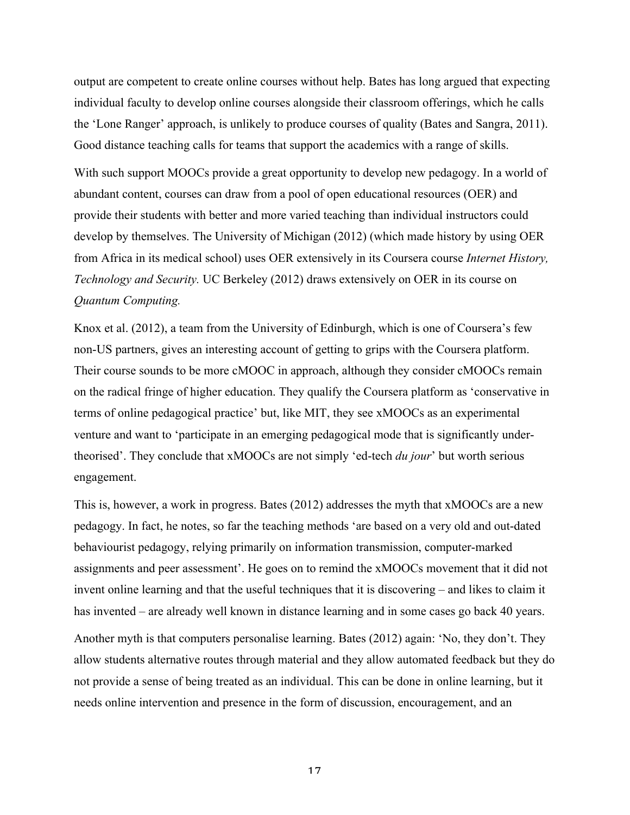output are competent to create online courses without help. Bates has long argued that expecting individual faculty to develop online courses alongside their classroom offerings, which he calls the 'Lone Ranger' approach, is unlikely to produce courses of quality (Bates and Sangra, 2011). Good distance teaching calls for teams that support the academics with a range of skills.

With such support MOOCs provide a great opportunity to develop new pedagogy. In a world of abundant content, courses can draw from a pool of open educational resources (OER) and provide their students with better and more varied teaching than individual instructors could develop by themselves. The University of Michigan (2012) (which made history by using OER from Africa in its medical school) uses OER extensively in its Coursera course *Internet History, Technology and Security.* UC Berkeley (2012) draws extensively on OER in its course on *Quantum Computing.*

Knox et al. (2012), a team from the University of Edinburgh, which is one of Coursera's few non-US partners, gives an interesting account of getting to grips with the Coursera platform. Their course sounds to be more cMOOC in approach, although they consider cMOOCs remain on the radical fringe of higher education. They qualify the Coursera platform as 'conservative in terms of online pedagogical practice' but, like MIT, they see xMOOCs as an experimental venture and want to 'participate in an emerging pedagogical mode that is significantly undertheorised'. They conclude that xMOOCs are not simply 'ed-tech *du jour*' but worth serious engagement.

This is, however, a work in progress. Bates (2012) addresses the myth that xMOOCs are a new pedagogy. In fact, he notes, so far the teaching methods 'are based on a very old and out-dated behaviourist pedagogy, relying primarily on information transmission, computer-marked assignments and peer assessment'. He goes on to remind the xMOOCs movement that it did not invent online learning and that the useful techniques that it is discovering – and likes to claim it has invented – are already well known in distance learning and in some cases go back 40 years.

Another myth is that computers personalise learning. Bates (2012) again: 'No, they don't. They allow students alternative routes through material and they allow automated feedback but they do not provide a sense of being treated as an individual. This can be done in online learning, but it needs online intervention and presence in the form of discussion, encouragement, and an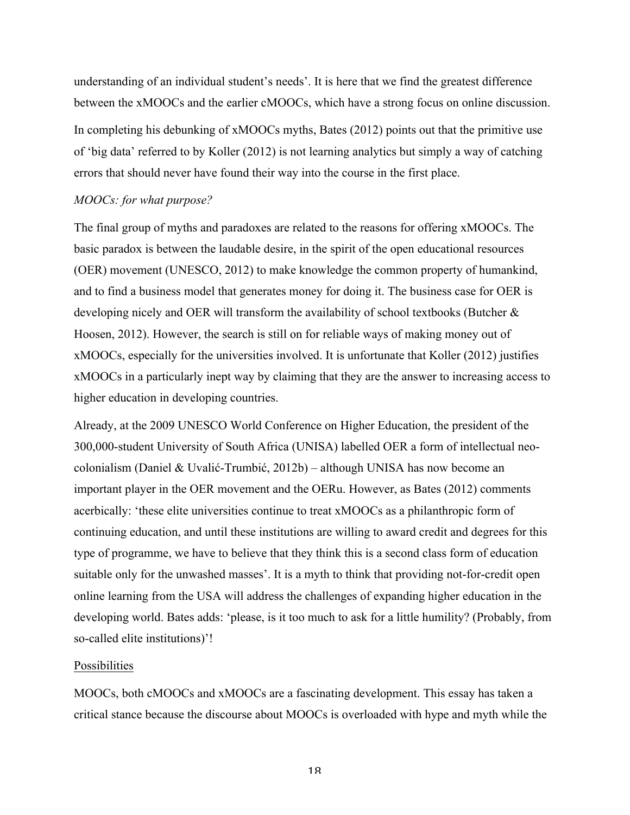understanding of an individual student's needs'. It is here that we find the greatest difference between the xMOOCs and the earlier cMOOCs, which have a strong focus on online discussion. In completing his debunking of xMOOCs myths, Bates (2012) points out that the primitive use of 'big data' referred to by Koller (2012) is not learning analytics but simply a way of catching errors that should never have found their way into the course in the first place.

# *MOOCs: for what purpose?*

The final group of myths and paradoxes are related to the reasons for offering xMOOCs. The basic paradox is between the laudable desire, in the spirit of the open educational resources (OER) movement (UNESCO, 2012) to make knowledge the common property of humankind, and to find a business model that generates money for doing it. The business case for OER is developing nicely and OER will transform the availability of school textbooks (Butcher  $\&$ Hoosen, 2012). However, the search is still on for reliable ways of making money out of xMOOCs, especially for the universities involved. It is unfortunate that Koller (2012) justifies xMOOCs in a particularly inept way by claiming that they are the answer to increasing access to higher education in developing countries.

Already, at the 2009 UNESCO World Conference on Higher Education, the president of the 300,000-student University of South Africa (UNISA) labelled OER a form of intellectual neocolonialism (Daniel & Uvalić-Trumbić, 2012b) – although UNISA has now become an important player in the OER movement and the OERu. However, as Bates (2012) comments acerbically: 'these elite universities continue to treat xMOOCs as a philanthropic form of continuing education, and until these institutions are willing to award credit and degrees for this type of programme, we have to believe that they think this is a second class form of education suitable only for the unwashed masses'. It is a myth to think that providing not-for-credit open online learning from the USA will address the challenges of expanding higher education in the developing world. Bates adds: 'please, is it too much to ask for a little humility? (Probably, from so-called elite institutions)'!

#### Possibilities

MOOCs, both cMOOCs and xMOOCs are a fascinating development. This essay has taken a critical stance because the discourse about MOOCs is overloaded with hype and myth while the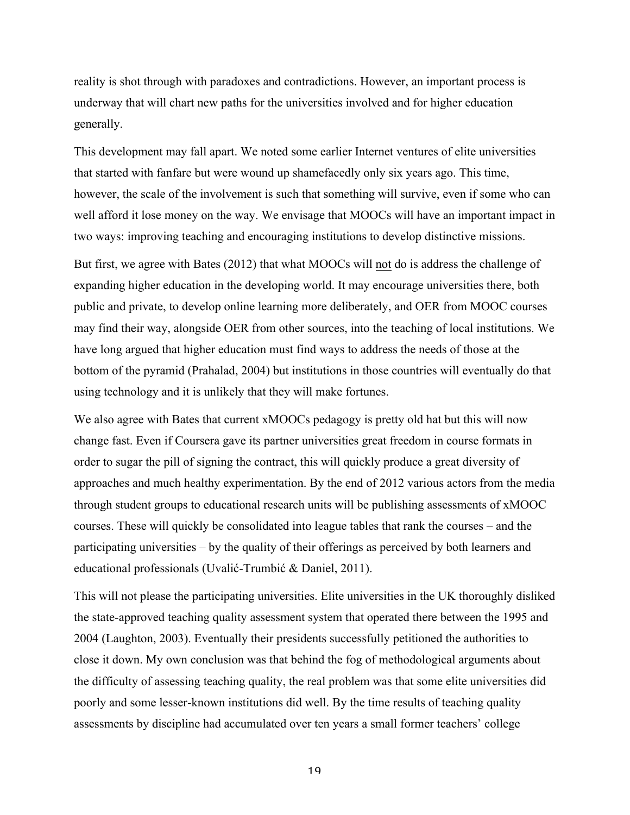reality is shot through with paradoxes and contradictions. However, an important process is underway that will chart new paths for the universities involved and for higher education generally.

This development may fall apart. We noted some earlier Internet ventures of elite universities that started with fanfare but were wound up shamefacedly only six years ago. This time, however, the scale of the involvement is such that something will survive, even if some who can well afford it lose money on the way. We envisage that MOOCs will have an important impact in two ways: improving teaching and encouraging institutions to develop distinctive missions.

But first, we agree with Bates (2012) that what MOOCs will not do is address the challenge of expanding higher education in the developing world. It may encourage universities there, both public and private, to develop online learning more deliberately, and OER from MOOC courses may find their way, alongside OER from other sources, into the teaching of local institutions. We have long argued that higher education must find ways to address the needs of those at the bottom of the pyramid (Prahalad, 2004) but institutions in those countries will eventually do that using technology and it is unlikely that they will make fortunes.

We also agree with Bates that current xMOOCs pedagogy is pretty old hat but this will now change fast. Even if Coursera gave its partner universities great freedom in course formats in order to sugar the pill of signing the contract, this will quickly produce a great diversity of approaches and much healthy experimentation. By the end of 2012 various actors from the media through student groups to educational research units will be publishing assessments of xMOOC courses. These will quickly be consolidated into league tables that rank the courses – and the participating universities – by the quality of their offerings as perceived by both learners and educational professionals (Uvalić-Trumbić & Daniel, 2011).

This will not please the participating universities. Elite universities in the UK thoroughly disliked the state-approved teaching quality assessment system that operated there between the 1995 and 2004 (Laughton, 2003). Eventually their presidents successfully petitioned the authorities to close it down. My own conclusion was that behind the fog of methodological arguments about the difficulty of assessing teaching quality, the real problem was that some elite universities did poorly and some lesser-known institutions did well. By the time results of teaching quality assessments by discipline had accumulated over ten years a small former teachers' college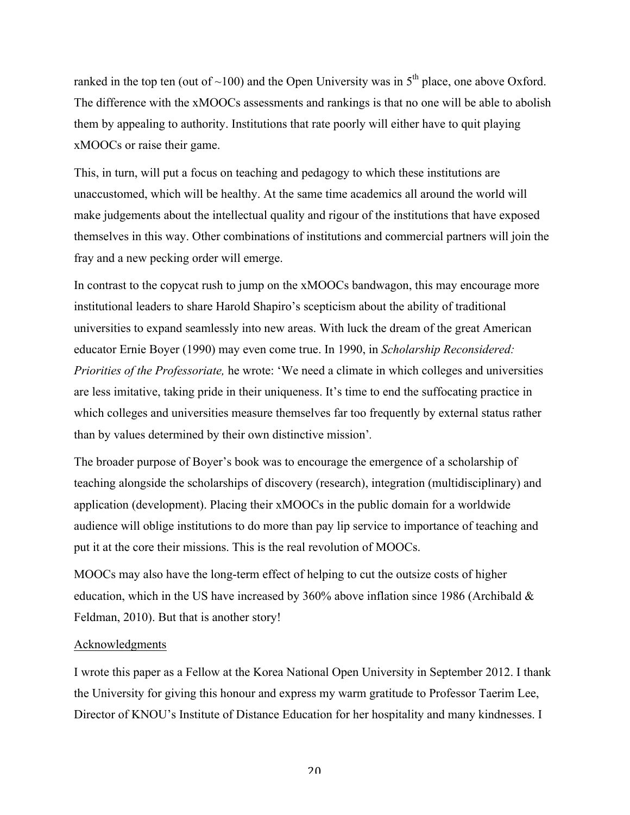ranked in the top ten (out of  $\sim$ 100) and the Open University was in  $5<sup>th</sup>$  place, one above Oxford. The difference with the xMOOCs assessments and rankings is that no one will be able to abolish them by appealing to authority. Institutions that rate poorly will either have to quit playing xMOOCs or raise their game.

This, in turn, will put a focus on teaching and pedagogy to which these institutions are unaccustomed, which will be healthy. At the same time academics all around the world will make judgements about the intellectual quality and rigour of the institutions that have exposed themselves in this way. Other combinations of institutions and commercial partners will join the fray and a new pecking order will emerge.

In contrast to the copycat rush to jump on the xMOOCs bandwagon, this may encourage more institutional leaders to share Harold Shapiro's scepticism about the ability of traditional universities to expand seamlessly into new areas. With luck the dream of the great American educator Ernie Boyer (1990) may even come true. In 1990, in *Scholarship Reconsidered: Priorities of the Professoriate,* he wrote: 'We need a climate in which colleges and universities are less imitative, taking pride in their uniqueness. It's time to end the suffocating practice in which colleges and universities measure themselves far too frequently by external status rather than by values determined by their own distinctive mission'*.*

The broader purpose of Boyer's book was to encourage the emergence of a scholarship of teaching alongside the scholarships of discovery (research), integration (multidisciplinary) and application (development). Placing their xMOOCs in the public domain for a worldwide audience will oblige institutions to do more than pay lip service to importance of teaching and put it at the core their missions. This is the real revolution of MOOCs.

MOOCs may also have the long-term effect of helping to cut the outsize costs of higher education, which in the US have increased by 360% above inflation since 1986 (Archibald & Feldman, 2010). But that is another story!

# Acknowledgments

I wrote this paper as a Fellow at the Korea National Open University in September 2012. I thank the University for giving this honour and express my warm gratitude to Professor Taerim Lee, Director of KNOU's Institute of Distance Education for her hospitality and many kindnesses. I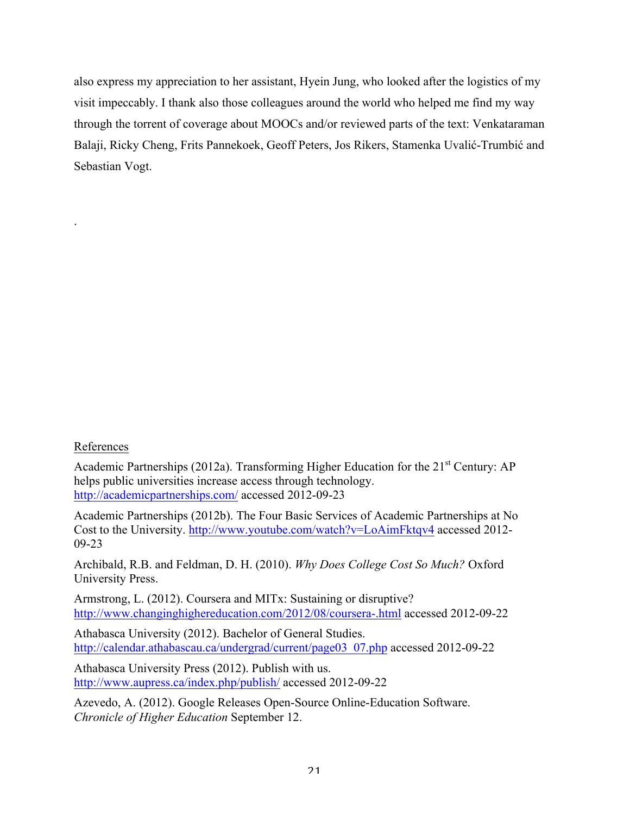also express my appreciation to her assistant, Hyein Jung, who looked after the logistics of my visit impeccably. I thank also those colleagues around the world who helped me find my way through the torrent of coverage about MOOCs and/or reviewed parts of the text: Venkataraman Balaji, Ricky Cheng, Frits Pannekoek, Geoff Peters, Jos Rikers, Stamenka Uvalić-Trumbić and Sebastian Vogt.

# References

.

Academic Partnerships (2012a). Transforming Higher Education for the  $21<sup>st</sup>$  Century: AP helps public universities increase access through technology. http://academicpartnerships.com/ accessed 2012-09-23

Academic Partnerships (2012b). The Four Basic Services of Academic Partnerships at No Cost to the University. http://www.youtube.com/watch?v=LoAimFktqv4 accessed 2012- 09-23

Archibald, R.B. and Feldman, D. H. (2010). *Why Does College Cost So Much?* Oxford University Press.

Armstrong, L. (2012). Coursera and MITx: Sustaining or disruptive? http://www.changinghighereducation.com/2012/08/coursera-.html accessed 2012-09-22

Athabasca University (2012). Bachelor of General Studies. http://calendar.athabascau.ca/undergrad/current/page03\_07.php accessed 2012-09-22

Athabasca University Press (2012). Publish with us. http://www.aupress.ca/index.php/publish/ accessed 2012-09-22

Azevedo, A. (2012). Google Releases Open-Source Online-Education Software. *Chronicle of Higher Education* September 12.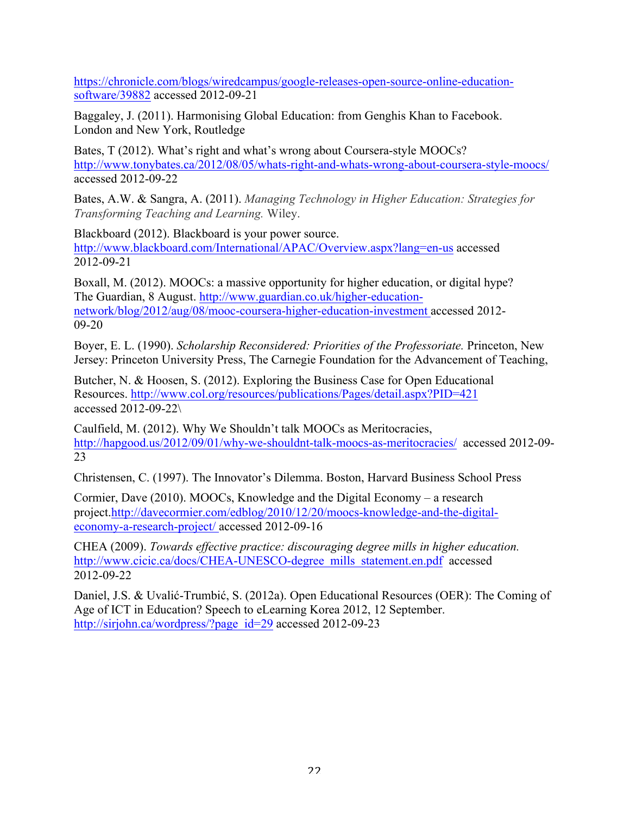https://chronicle.com/blogs/wiredcampus/google-releases-open-source-online-educationsoftware/39882 accessed 2012-09-21

Baggaley, J. (2011). Harmonising Global Education: from Genghis Khan to Facebook. London and New York, Routledge

Bates, T (2012). What's right and what's wrong about Coursera-style MOOCs? http://www.tonybates.ca/2012/08/05/whats-right-and-whats-wrong-about-coursera-style-moocs/ accessed 2012-09-22

Bates, A.W. & Sangra, A. (2011). *Managing Technology in Higher Education: Strategies for Transforming Teaching and Learning.* Wiley.

Blackboard (2012). Blackboard is your power source. http://www.blackboard.com/International/APAC/Overview.aspx?lang=en-us accessed 2012-09-21

Boxall, M. (2012). MOOCs: a massive opportunity for higher education, or digital hype? The Guardian, 8 August. http://www.guardian.co.uk/higher-educationnetwork/blog/2012/aug/08/mooc-coursera-higher-education-investment accessed 2012- 09-20

Boyer, E. L. (1990). *Scholarship Reconsidered: Priorities of the Professoriate.* Princeton, New Jersey: Princeton University Press, The Carnegie Foundation for the Advancement of Teaching,

Butcher, N. & Hoosen, S. (2012). Exploring the Business Case for Open Educational Resources. http://www.col.org/resources/publications/Pages/detail.aspx?PID=421 accessed 2012-09-22\

Caulfield, M. (2012). Why We Shouldn't talk MOOCs as Meritocracies, http://hapgood.us/2012/09/01/why-we-shouldnt-talk-moocs-as-meritocracies/ accessed 2012-09- 23

Christensen, C. (1997). The Innovator's Dilemma. Boston, Harvard Business School Press

Cormier, Dave (2010). MOOCs, Knowledge and the Digital Economy – a research project.http://davecormier.com/edblog/2010/12/20/moocs-knowledge-and-the-digitaleconomy-a-research-project/ accessed 2012-09-16

CHEA (2009). *Towards effective practice: discouraging degree mills in higher education.* http://www.cicic.ca/docs/CHEA-UNESCO-degree\_mills\_statement.en.pdf accessed 2012-09-22

Daniel, J.S. & Uvalić-Trumbić, S. (2012a). Open Educational Resources (OER): The Coming of Age of ICT in Education? Speech to eLearning Korea 2012, 12 September. http://sirjohn.ca/wordpress/?page\_id=29 accessed 2012-09-23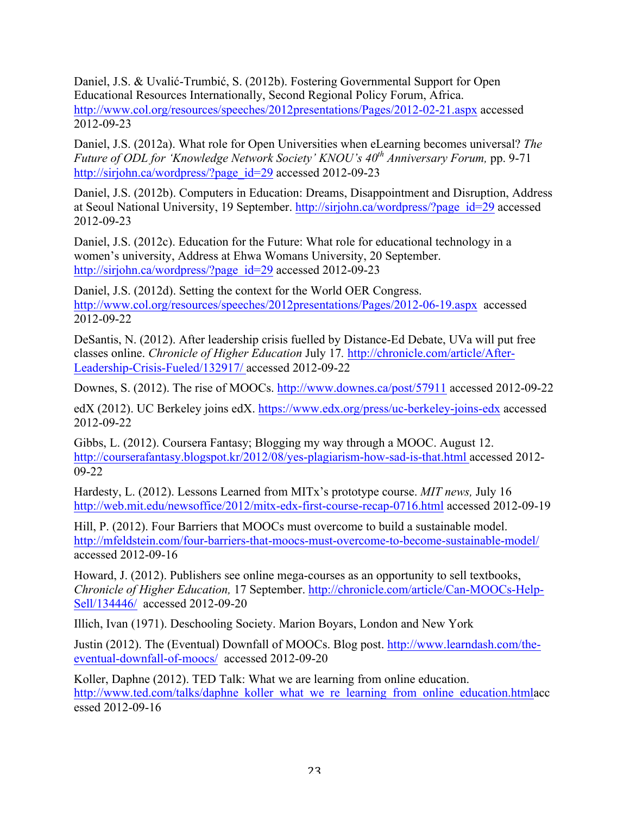Daniel, J.S. & Uvalić-Trumbić, S. (2012b). Fostering Governmental Support for Open Educational Resources Internationally, Second Regional Policy Forum, Africa. http://www.col.org/resources/speeches/2012presentations/Pages/2012-02-21.aspx accessed 2012-09-23

Daniel, J.S. (2012a). What role for Open Universities when eLearning becomes universal? *The Future of ODL for 'Knowledge Network Society' KNOU's 40th Anniversary Forum,* pp. 9-71 http://sirjohn.ca/wordpress/?page\_id=29 accessed 2012-09-23

Daniel, J.S. (2012b). Computers in Education: Dreams, Disappointment and Disruption, Address at Seoul National University, 19 September. http://sirjohn.ca/wordpress/?page\_id=29 accessed 2012-09-23

Daniel, J.S. (2012c). Education for the Future: What role for educational technology in a women's university, Address at Ehwa Womans University, 20 September. http://sirjohn.ca/wordpress/?page\_id=29 accessed 2012-09-23

Daniel, J.S. (2012d). Setting the context for the World OER Congress. http://www.col.org/resources/speeches/2012presentations/Pages/2012-06-19.aspx accessed 2012-09-22

DeSantis, N. (2012). After leadership crisis fuelled by Distance-Ed Debate, UVa will put free classes online. *Chronicle of Higher Education* July 17*.* http://chronicle.com/article/After-Leadership-Crisis-Fueled/132917/ accessed 2012-09-22

Downes, S. (2012). The rise of MOOCs. http://www.downes.ca/post/57911 accessed 2012-09-22

edX (2012). UC Berkeley joins edX. https://www.edx.org/press/uc-berkeley-joins-edx accessed 2012-09-22

Gibbs, L. (2012). Coursera Fantasy; Blogging my way through a MOOC. August 12. http://courserafantasy.blogspot.kr/2012/08/yes-plagiarism-how-sad-is-that.html accessed 2012- 09-22

Hardesty, L. (2012). Lessons Learned from MITx's prototype course. *MIT news,* July 16 http://web.mit.edu/newsoffice/2012/mitx-edx-first-course-recap-0716.html accessed 2012-09-19

Hill, P. (2012). Four Barriers that MOOCs must overcome to build a sustainable model. http://mfeldstein.com/four-barriers-that-moocs-must-overcome-to-become-sustainable-model/ accessed 2012-09-16

Howard, J. (2012). Publishers see online mega-courses as an opportunity to sell textbooks, *Chronicle of Higher Education,* 17 September. http://chronicle.com/article/Can-MOOCs-Help-Sell/134446/ accessed 2012-09-20

Illich, Ivan (1971). Deschooling Society. Marion Boyars, London and New York

Justin (2012). The (Eventual) Downfall of MOOCs. Blog post. http://www.learndash.com/theeventual-downfall-of-moocs/ accessed 2012-09-20

Koller, Daphne (2012). TED Talk: What we are learning from online education. http://www.ted.com/talks/daphne\_koller\_what\_we\_re\_learning\_from\_online\_education.htmlacc essed 2012-09-16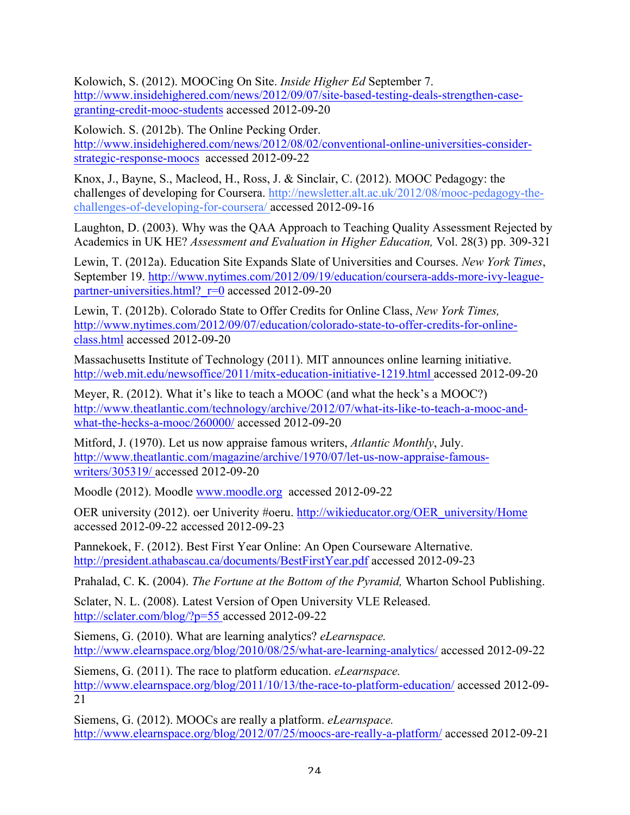Kolowich, S. (2012). MOOCing On Site. *Inside Higher Ed* September 7. http://www.insidehighered.com/news/2012/09/07/site-based-testing-deals-strengthen-casegranting-credit-mooc-students accessed 2012-09-20

Kolowich. S. (2012b). The Online Pecking Order. http://www.insidehighered.com/news/2012/08/02/conventional-online-universities-considerstrategic-response-moocs accessed 2012-09-22

Knox, J., Bayne, S., Macleod, H., Ross, J. & Sinclair, C. (2012). MOOC Pedagogy: the challenges of developing for Coursera. http://newsletter.alt.ac.uk/2012/08/mooc-pedagogy-thechallenges-of-developing-for-coursera/ accessed 2012-09-16

Laughton, D. (2003). Why was the QAA Approach to Teaching Quality Assessment Rejected by Academics in UK HE? *Assessment and Evaluation in Higher Education,* Vol. 28(3) pp. 309-321

Lewin, T. (2012a). Education Site Expands Slate of Universities and Courses. *New York Times*, September 19. http://www.nytimes.com/2012/09/19/education/coursera-adds-more-ivy-leaguepartner-universities.html? $r=0$  accessed 2012-09-20

Lewin, T. (2012b). Colorado State to Offer Credits for Online Class, *New York Times,*  http://www.nytimes.com/2012/09/07/education/colorado-state-to-offer-credits-for-onlineclass.html accessed 2012-09-20

Massachusetts Institute of Technology (2011). MIT announces online learning initiative. http://web.mit.edu/newsoffice/2011/mitx-education-initiative-1219.html accessed 2012-09-20

Meyer, R. (2012). What it's like to teach a MOOC (and what the heck's a MOOC?) http://www.theatlantic.com/technology/archive/2012/07/what-its-like-to-teach-a-mooc-andwhat-the-hecks-a-mooc/260000/ accessed 2012-09-20

Mitford, J. (1970). Let us now appraise famous writers, *Atlantic Monthly*, July. http://www.theatlantic.com/magazine/archive/1970/07/let-us-now-appraise-famouswriters/305319/ accessed 2012-09-20

Moodle (2012). Moodle www.moodle.org accessed 2012-09-22

OER university (2012). oer Univerity #oeru. http://wikieducator.org/OER\_university/Home accessed 2012-09-22 accessed 2012-09-23

Pannekoek, F. (2012). Best First Year Online: An Open Courseware Alternative. http://president.athabascau.ca/documents/BestFirstYear.pdf accessed 2012-09-23

Prahalad, C. K. (2004). *The Fortune at the Bottom of the Pyramid,* Wharton School Publishing.

Sclater, N. L. (2008). Latest Version of Open University VLE Released. http://sclater.com/blog/?p=55 accessed 2012-09-22

Siemens, G. (2010). What are learning analytics? *eLearnspace.* http://www.elearnspace.org/blog/2010/08/25/what-are-learning-analytics/ accessed 2012-09-22

Siemens, G. (2011). The race to platform education. *eLearnspace.*  http://www.elearnspace.org/blog/2011/10/13/the-race-to-platform-education/ accessed 2012-09-21

Siemens, G. (2012). MOOCs are really a platform. *eLearnspace.*  http://www.elearnspace.org/blog/2012/07/25/moocs-are-really-a-platform/ accessed 2012-09-21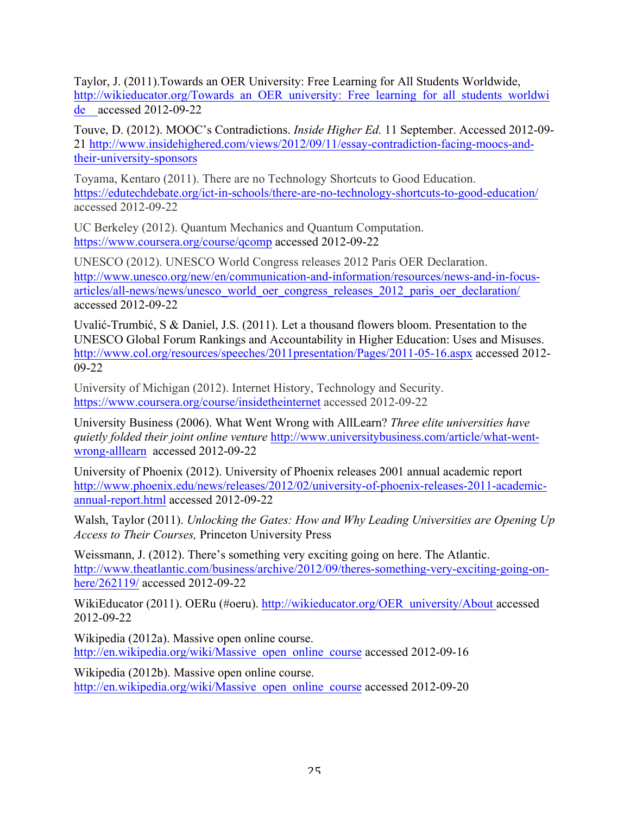Taylor, J. (2011).Towards an OER University: Free Learning for All Students Worldwide, http://wikieducator.org/Towards\_an\_OER\_university:\_Free\_learning\_for\_all\_students\_worldwi de accessed 2012-09-22

Touve, D. (2012). MOOC's Contradictions. *Inside Higher Ed.* 11 September. Accessed 2012-09- 21 http://www.insidehighered.com/views/2012/09/11/essay-contradiction-facing-moocs-andtheir-university-sponsors

Toyama, Kentaro (2011). There are no Technology Shortcuts to Good Education. https://edutechdebate.org/ict-in-schools/there-are-no-technology-shortcuts-to-good-education/ accessed 2012-09-22

UC Berkeley (2012). Quantum Mechanics and Quantum Computation. https://www.coursera.org/course/qcomp accessed 2012-09-22

UNESCO (2012). UNESCO World Congress releases 2012 Paris OER Declaration. http://www.unesco.org/new/en/communication-and-information/resources/news-and-in-focusarticles/all-news/news/unesco\_world\_oer\_congress\_releases\_2012\_paris\_oer\_declaration/ accessed 2012-09-22

Uvalić-Trumbić, S & Daniel, J.S. (2011). Let a thousand flowers bloom. Presentation to the UNESCO Global Forum Rankings and Accountability in Higher Education: Uses and Misuses. http://www.col.org/resources/speeches/2011presentation/Pages/2011-05-16.aspx accessed 2012-09-22

University of Michigan (2012). Internet History, Technology and Security. https://www.coursera.org/course/insidetheinternet accessed 2012-09-22

University Business (2006). What Went Wrong with AllLearn? *Three elite universities have quietly folded their joint online venture* http://www.universitybusiness.com/article/what-wentwrong-alllearn accessed 2012-09-22

University of Phoenix (2012). University of Phoenix releases 2001 annual academic report http://www.phoenix.edu/news/releases/2012/02/university-of-phoenix-releases-2011-academicannual-report.html accessed 2012-09-22

Walsh, Taylor (2011). *Unlocking the Gates: How and Why Leading Universities are Opening Up Access to Their Courses,* Princeton University Press

Weissmann, J. (2012). There's something very exciting going on here. The Atlantic. http://www.theatlantic.com/business/archive/2012/09/theres-something-very-exciting-going-onhere/262119/ accessed 2012-09-22

WikiEducator (2011). OERu (#oeru). http://wikieducator.org/OER\_university/About accessed 2012-09-22

Wikipedia (2012a). Massive open online course. http://en.wikipedia.org/wiki/Massive\_open\_online\_course accessed 2012-09-16

Wikipedia (2012b). Massive open online course. http://en.wikipedia.org/wiki/Massive\_open\_online\_course accessed 2012-09-20